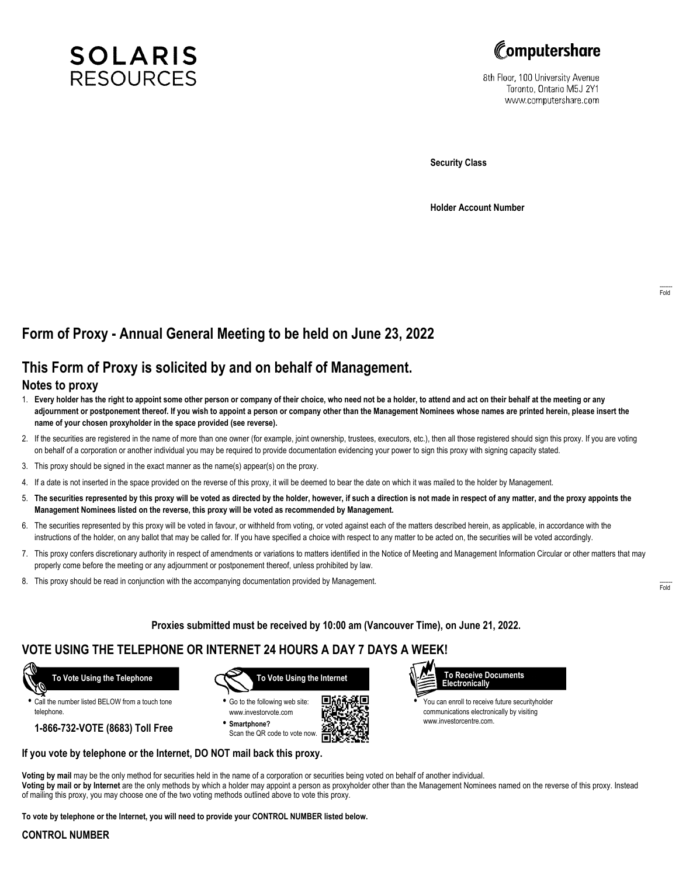



8th Floor, 100 University Avenue Toronto, Ontario M5J 2Y1 www.computershare.com

**Security Class**

**Holder Account Number**

# **Form of Proxy - Annual General Meeting to be held on June 23, 2022**

## **This Form of Proxy is solicited by and on behalf of Management.**

#### **Notes to proxy**

- 1. **Every holder has the right to appoint some other person or company of their choice, who need not be a holder, to attend and act on their behalf at the meeting or any adjournment or postponement thereof. If you wish to appoint a person or company other than the Management Nominees whose names are printed herein, please insert the name of your chosen proxyholder in the space provided (see reverse).**
- 2. If the securities are registered in the name of more than one owner (for example, joint ownership, trustees, executors, etc.), then all those registered should sign this proxy. If you are voting on behalf of a corporation or another individual you may be required to provide documentation evidencing your power to sign this proxy with signing capacity stated.
- 3. This proxy should be signed in the exact manner as the name(s) appear(s) on the proxy.
- 4. If a date is not inserted in the space provided on the reverse of this proxy, it will be deemed to bear the date on which it was mailed to the holder by Management.
- 5. **The securities represented by this proxy will be voted as directed by the holder, however, if such a direction is not made in respect of any matter, and the proxy appoints the Management Nominees listed on the reverse, this proxy will be voted as recommended by Management.**
- 6. The securities represented by this proxy will be voted in favour, or withheld from voting, or voted against each of the matters described herein, as applicable, in accordance with the instructions of the holder, on any ballot that may be called for. If you have specified a choice with respect to any matter to be acted on, the securities will be voted accordingly.
- 7. This proxy confers discretionary authority in respect of amendments or variations to matters identified in the Notice of Meeting and Management Information Circular or other matters that may properly come before the meeting or any adjournment or postponement thereof, unless prohibited by law.
- 8. This proxy should be read in conjunction with the accompanying documentation provided by Management.

**Proxies submitted must be received by 10:00 am (Vancouver Time), on June 21, 2022.**

## **VOTE USING THE TELEPHONE OR INTERNET 24 HOURS A DAY 7 DAYS A WEEK!**



**•** Call the number listed BELOW from a touch tone telephone.

**1-866-732-VOTE (8683) Toll Free**



**•** Go to the following web site: www.investorvote.com **• Smartphone?**

Scan the QR code to vote now.





**•** You can enroll to receive future securityholder communications electronically by visiting www.investorcentre.com.

#### **If you vote by telephone or the Internet, DO NOT mail back this proxy.**

**Voting by mail** may be the only method for securities held in the name of a corporation or securities being voted on behalf of another individual. **Voting by mail or by Internet** are the only methods by which a holder may appoint a person as proxyholder other than the Management Nominees named on the reverse of this proxy. Instead of mailing this proxy, you may choose one of the two voting methods outlined above to vote this proxy.

**To vote by telephone or the Internet, you will need to provide your CONTROL NUMBER listed below.**

#### **CONTROL NUMBER**